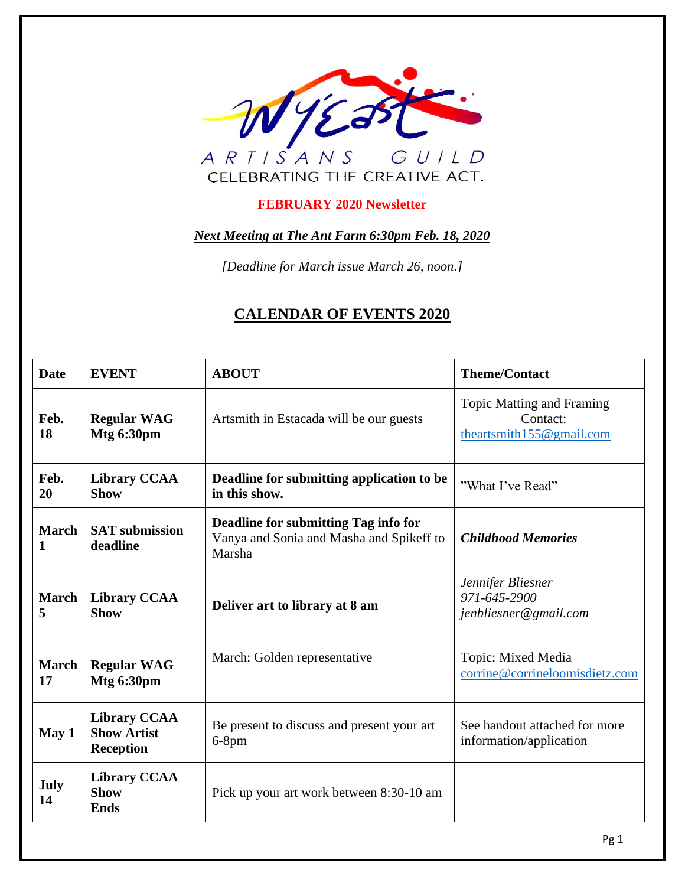

#### **FEBRUARY 2020 Newsletter**

*Next Meeting at The Ant Farm 6:30pm Feb. 18, 2020*

*[Deadline for March issue March 26, noon.]*

## **CALENDAR OF EVENTS 2020**

| <b>Date</b>        | <b>EVENT</b>                                                  | <b>ABOUT</b>                                                                               | <b>Theme/Contact</b>                                                     |  |
|--------------------|---------------------------------------------------------------|--------------------------------------------------------------------------------------------|--------------------------------------------------------------------------|--|
| Feb.<br>18         | <b>Regular WAG</b><br>Mtg 6:30pm                              | Artsmith in Estacada will be our guests                                                    | <b>Topic Matting and Framing</b><br>Contact:<br>theartsmith155@gmail.com |  |
| Feb.<br>20         | <b>Library CCAA</b><br><b>Show</b>                            | Deadline for submitting application to be<br>in this show.                                 | "What I've Read"                                                         |  |
| <b>March</b><br>1  | <b>SAT</b> submission<br>deadline                             | Deadline for submitting Tag info for<br>Vanya and Sonia and Masha and Spikeff to<br>Marsha | <b>Childhood Memories</b>                                                |  |
| <b>March</b><br>5  | <b>Library CCAA</b><br><b>Show</b>                            | Deliver art to library at 8 am                                                             | Jennifer Bliesner<br>971-645-2900<br>jenbliesner@gmail.com               |  |
| <b>March</b><br>17 | <b>Regular WAG</b><br>Mtg 6:30pm                              | March: Golden representative                                                               | Topic: Mixed Media<br>corrine@corrineloomisdietz.com                     |  |
| May 1              | <b>Library CCAA</b><br><b>Show Artist</b><br><b>Reception</b> | Be present to discuss and present your art<br>$6-8$ pm                                     | See handout attached for more<br>information/application                 |  |
| July<br>14         | <b>Library CCAA</b><br><b>Show</b><br><b>Ends</b>             | Pick up your art work between 8:30-10 am                                                   |                                                                          |  |
|                    |                                                               |                                                                                            | Pg 1                                                                     |  |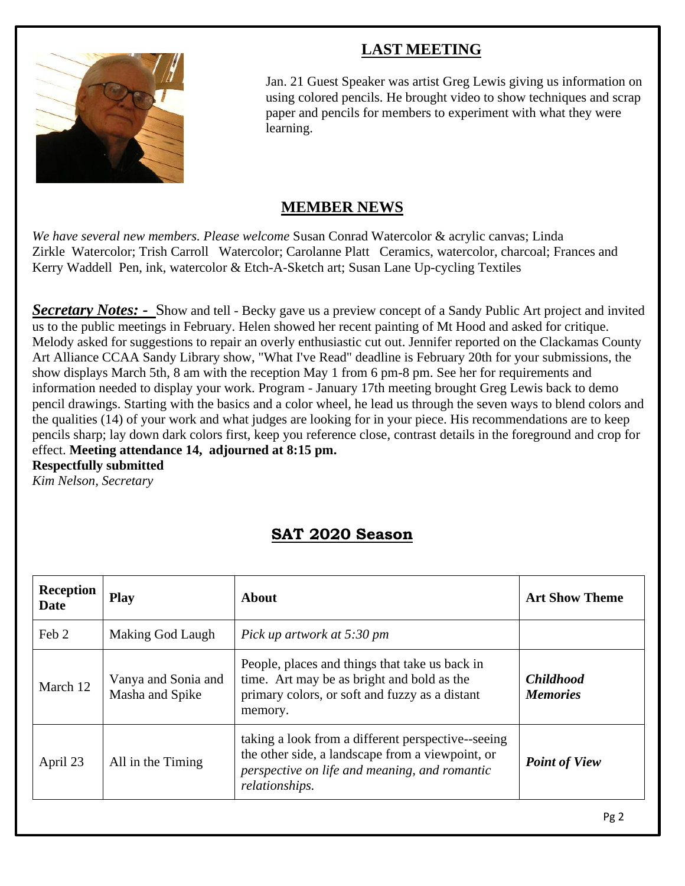# **LAST MEETING**



Jan. 21 Guest Speaker was artist Greg Lewis giving us information on using colored pencils. He brought video to show techniques and scrap paper and pencils for members to experiment with what they were learning.

## **MEMBER NEWS**

*We have several new members. Please welcome* Susan Conrad Watercolor & acrylic canvas; Linda Zirkle Watercolor; Trish Carroll Watercolor; Carolanne Platt Ceramics, watercolor, charcoal; Frances and Kerry Waddell Pen, ink, watercolor & Etch-A-Sketch art; Susan Lane Up-cycling Textiles

*Secretary Notes: -* Show and tell - Becky gave us a preview concept of a Sandy Public Art project and invited us to the public meetings in February. Helen showed her recent painting of Mt Hood and asked for critique. Melody asked for suggestions to repair an overly enthusiastic cut out. Jennifer reported on the Clackamas County Art Alliance CCAA Sandy Library show, "What I've Read" deadline is February 20th for your submissions, the show displays March 5th, 8 am with the reception May 1 from 6 pm-8 pm. See her for requirements and information needed to display your work. Program - January 17th meeting brought Greg Lewis back to demo pencil drawings. Starting with the basics and a color wheel, he lead us through the seven ways to blend colors and the qualities (14) of your work and what judges are looking for in your piece. His recommendations are to keep pencils sharp; lay down dark colors first, keep you reference close, contrast details in the foreground and crop for effect. **Meeting attendance 14, adjourned at 8:15 pm. Respectfully submitted**

*Kim Nelson, Secretary*

# **SAT 2020 Season**

| <b>Reception</b><br>Date | <b>Play</b>                            | About                                                                                                                                                                                            | <b>Art Show Theme</b>               |
|--------------------------|----------------------------------------|--------------------------------------------------------------------------------------------------------------------------------------------------------------------------------------------------|-------------------------------------|
| Feb 2                    | Making God Laugh                       | Pick up artwork at 5:30 pm                                                                                                                                                                       |                                     |
| March 12                 | Vanya and Sonia and<br>Masha and Spike | People, places and things that take us back in<br>time. Art may be as bright and bold as the<br>primary colors, or soft and fuzzy as a distant<br>memory.                                        | <b>Childhood</b><br><b>Memories</b> |
| April 23                 | All in the Timing                      | taking a look from a different perspective-seeing<br>the other side, a landscape from a viewpoint, or<br><b>Point of View</b><br>perspective on life and meaning, and romantic<br>relationships. |                                     |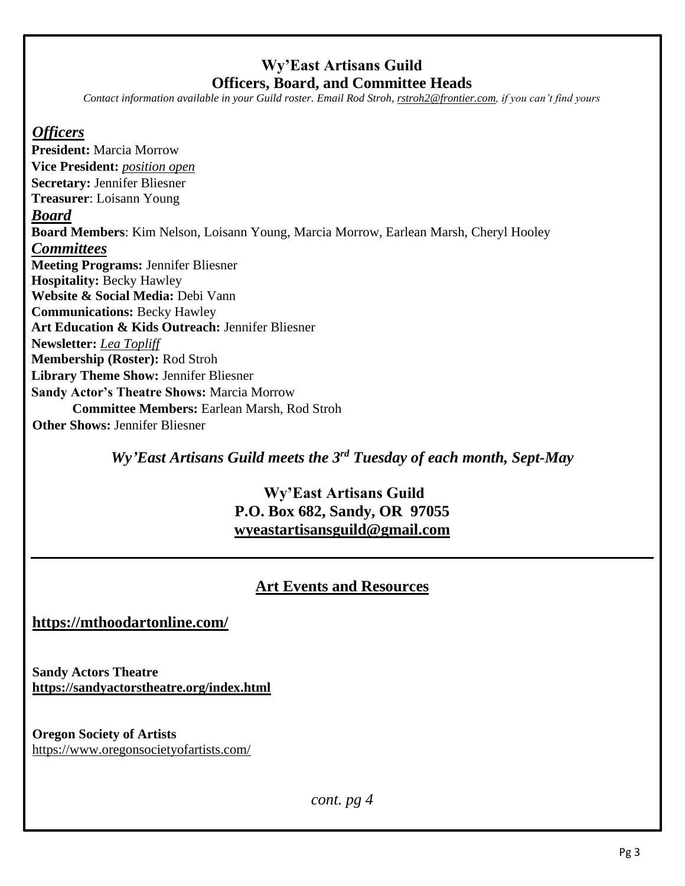## **Wy'East Artisans Guild Officers, Board, and Committee Heads**

*Contact information available in your Guild roster. Email Rod Stroh, [rstroh2@frontier.com,](mailto:rstroh2@frontier.com) if you can't find yours*

#### *Officers*

**President:** Marcia Morrow **Vice President:** *position open* **Secretary:** Jennifer Bliesner **Treasurer**: Loisann Young *Board* **Board Members**: Kim Nelson, Loisann Young, Marcia Morrow, Earlean Marsh, Cheryl Hooley *Committees* **Meeting Programs:** Jennifer Bliesner **Hospitality:** Becky Hawley **Website & Social Media:** Debi Vann **Communications:** Becky Hawley **Art Education & Kids Outreach:** Jennifer Bliesner **Newsletter:** *Lea Topliff* **Membership (Roster):** Rod Stroh **Library Theme Show:** Jennifer Bliesner **Sandy Actor's Theatre Shows:** Marcia Morrow **Committee Members:** Earlean Marsh, Rod Stroh **Other Shows: Jennifer Bliesner** 

*Wy'East Artisans Guild meets the 3rd Tuesday of each month, Sept-May*

## **Wy'East Artisans Guild P.O. Box 682, Sandy, OR 97055 [wyeastartisansguild@gmail.com](mailto:wyeastartisansguild@gmail.com)**

## **Art Events and Resources**

**<https://mthoodartonline.com/>**

**Sandy Actors Theatre <https://sandyactorstheatre.org/index.html>**

**Oregon Society of Artists** <https://www.oregonsocietyofartists.com/>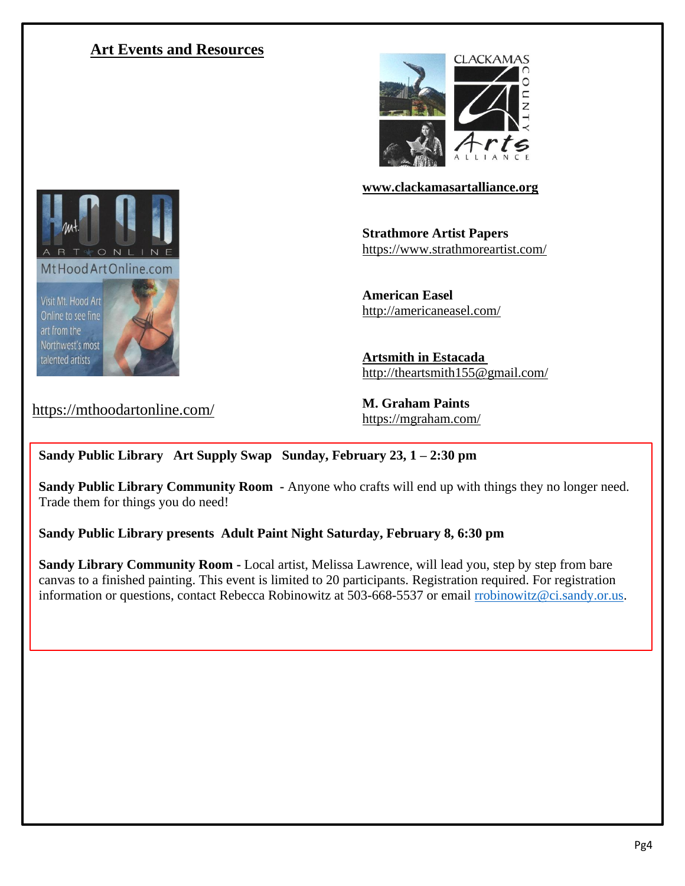### **Art Events and Resources**



**[www.clackamasartalliance.org](http://www.clackamasartalliance.org/)**

**Strathmore Artist Papers** <https://www.strathmoreartist.com/>

**American Easel** <http://americaneasel.com/>

**Artsmith in Estacada** http:/[/theartsmith155@gmail.com/](mailto:theartsmith155@gmail.com)

**M. Graham Paints** <https://mgraham.com/>

#### **Sandy Public Library Art Supply Swap Sunday, February 23, 1 – 2:30 pm**

**Sandy Public Library Community Room -** Anyone who crafts will end up with things they no longer need. Trade them for things you do need!

**Sandy Public Library presents Adult Paint Night Saturday, February 8, 6:30 pm**

**Sandy Library Community Room -** Local artist, Melissa Lawrence, will lead you, step by step from bare canvas to a finished painting. This event is limited to 20 participants. Registration required. For registration information or questions, contact Rebecca Robinowitz at 503-668-5537 or email [rrobinowitz@ci.sandy.or.us.](mailto:sjenkins@ci.sandy.or.us)



https://mthoodartonline.com/